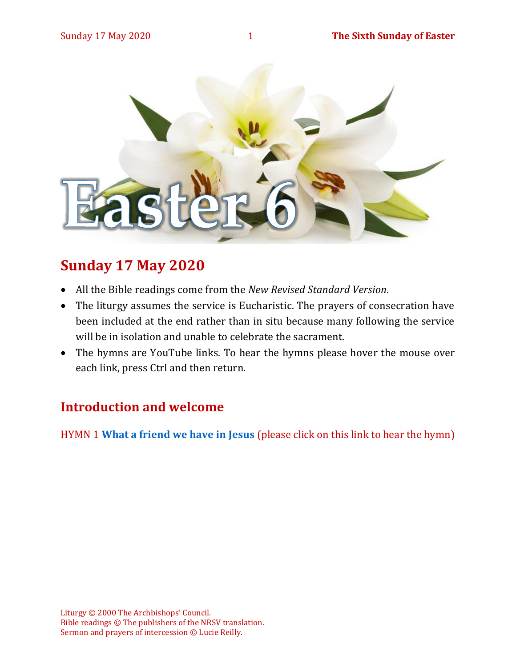

# **Sunday 17 May 2020**

- All the Bible readings come from the *New Revised Standard Version*.
- The liturgy assumes the service is Eucharistic. The prayers of consecration have been included at the end rather than in situ because many following the service will be in isolation and unable to celebrate the sacrament.
- The hymns are YouTube links. To hear the hymns please hover the mouse over each link, press Ctrl and then return.

# **Introduction and welcome**

HYMN 1 **[What a friend we have in Jesus](https://youtu.be/LarFhGeE-ac)** (please click on this link to hear the hymn)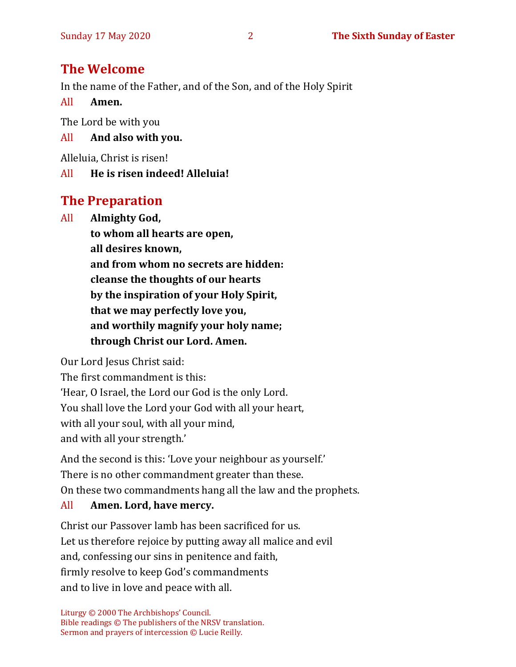# **The Welcome**

In the name of the Father, and of the Son, and of the Holy Spirit

All **Amen.**

The Lord be with you

## All **And also with you.**

Alleluia, Christ is risen!

## All **He is risen indeed! Alleluia!**

# **The Preparation**

All **Almighty God, to whom all hearts are open, all desires known, and from whom no secrets are hidden: cleanse the thoughts of our hearts by the inspiration of your Holy Spirit, that we may perfectly love you, and worthily magnify your holy name; through Christ our Lord. Amen.**

Our Lord Jesus Christ said:

The first commandment is this:

'Hear, O Israel, the Lord our God is the only Lord.

You shall love the Lord your God with all your heart,

with all your soul, with all your mind,

and with all your strength.'

And the second is this: 'Love your neighbour as yourself.' There is no other commandment greater than these.

On these two commandments hang all the law and the prophets.

# All **Amen. Lord, have mercy.**

Christ our Passover lamb has been sacrificed for us. Let us therefore rejoice by putting away all malice and evil and, confessing our sins in penitence and faith, firmly resolve to keep God's commandments and to live in love and peace with all.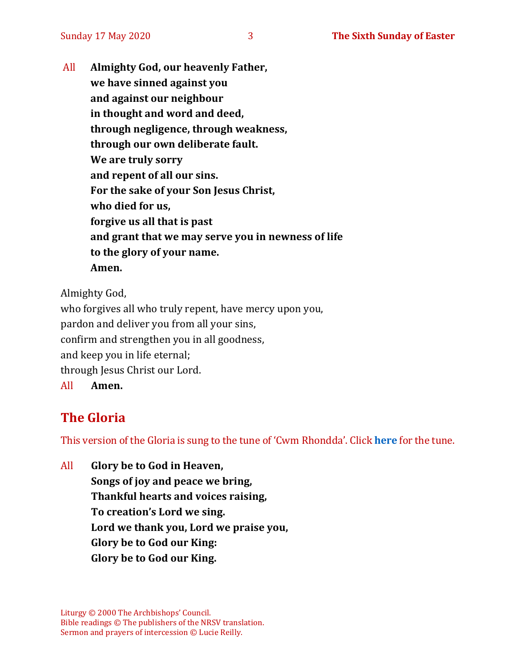All **Almighty God, our heavenly Father, we have sinned against you and against our neighbour in thought and word and deed, through negligence, through weakness, through our own deliberate fault. We are truly sorry and repent of all our sins. For the sake of your Son Jesus Christ, who died for us, forgive us all that is past and grant that we may serve you in newness of life to the glory of your name. Amen.**

Almighty God,

who forgives all who truly repent, have mercy upon you, pardon and deliver you from all your sins, confirm and strengthen you in all goodness, and keep you in life eternal; through Jesus Christ our Lord. All **Amen.**

# **The Gloria**

This version of the Gloria is sung to the tune of 'Cwm Rhondda'. Click **[here](about:blank)** for the tune.

All **Glory be to God in Heaven, Songs of joy and peace we bring, Thankful hearts and voices raising, To creation's Lord we sing. Lord we thank you, Lord we praise you, Glory be to God our King: Glory be to God our King.**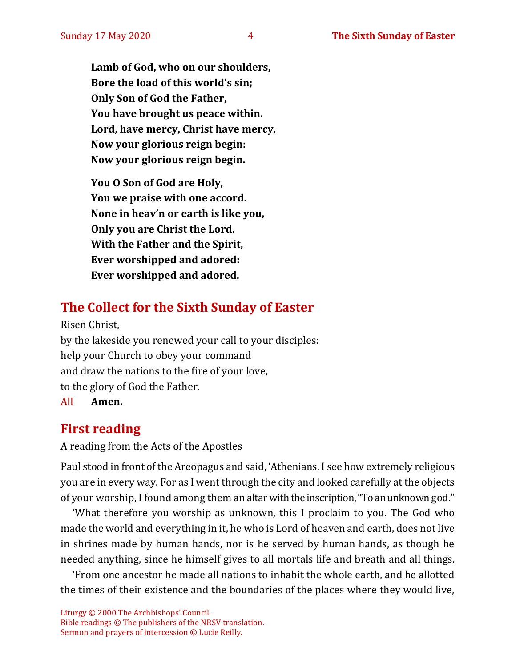**Lamb of God, who on our shoulders, Bore the load of this world's sin; Only Son of God the Father, You have brought us peace within. Lord, have mercy, Christ have mercy, Now your glorious reign begin: Now your glorious reign begin.**

**You O Son of God are Holy, You we praise with one accord. None in heav'n or earth is like you, Only you are Christ the Lord. With the Father and the Spirit, Ever worshipped and adored: Ever worshipped and adored.**

# **The Collect for the Sixth Sunday of Easter**

Risen Christ,

by the lakeside you renewed your call to your disciples: help your Church to obey your command and draw the nations to the fire of your love, to the glory of God the Father.

All **Amen.**

# **First reading**

A reading from the Acts of the Apostles

Paul stood in front of the Areopagus and said, 'Athenians, I see how extremely religious you are in every way. For as I went through the city and looked carefully at the objects of your worship, I found among them an altar with the inscription, "To an unknown god."

'What therefore you worship as unknown, this I proclaim to you. The God who made the world and everything in it, he who is Lord of heaven and earth, does not live in shrines made by human hands, nor is he served by human hands, as though he needed anything, since he himself gives to all mortals life and breath and all things.

'From one ancestor he made all nations to inhabit the whole earth, and he allotted the times of their existence and the boundaries of the places where they would live,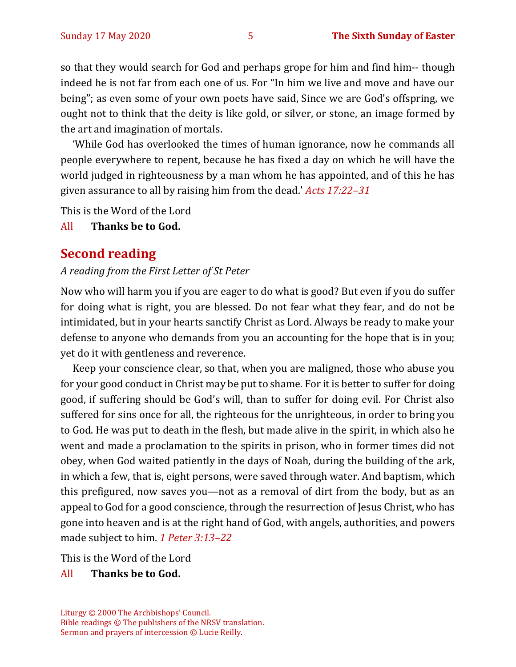so that they would search for God and perhaps grope for him and find him-- though indeed he is not far from each one of us. For "In him we live and move and have our being"; as even some of your own poets have said, Since we are God's offspring, we ought not to think that the deity is like gold, or silver, or stone, an image formed by the art and imagination of mortals.

'While God has overlooked the times of human ignorance, now he commands all people everywhere to repent, because he has fixed a day on which he will have the world judged in righteousness by a man whom he has appointed, and of this he has given assurance to all by raising him from the dead.' *Acts 17:22–31*

This is the Word of the Lord

All **Thanks be to God.**

#### **Second reading**

#### *A reading from the First Letter of St Peter*

Now who will harm you if you are eager to do what is good? But even if you do suffer for doing what is right, you are blessed. Do not fear what they fear, and do not be intimidated, but in your hearts sanctify Christ as Lord. Always be ready to make your defense to anyone who demands from you an accounting for the hope that is in you; yet do it with gentleness and reverence.

Keep your conscience clear, so that, when you are maligned, those who abuse you for your good conduct in Christ may be put to shame. For it is better to suffer for doing good, if suffering should be God's will, than to suffer for doing evil. For Christ also suffered for sins once for all, the righteous for the unrighteous, in order to bring you to God. He was put to death in the flesh, but made alive in the spirit, in which also he went and made a proclamation to the spirits in prison, who in former times did not obey, when God waited patiently in the days of Noah, during the building of the ark, in which a few, that is, eight persons, were saved through water. And baptism, which this prefigured, now saves you—not as a removal of dirt from the body, but as an appeal to God for a good conscience, through the resurrection of Jesus Christ, who has gone into heaven and is at the right hand of God, with angels, authorities, and powers made subject to him. *1 Peter 3:13–22*

This is the Word of the Lord

All **Thanks be to God.**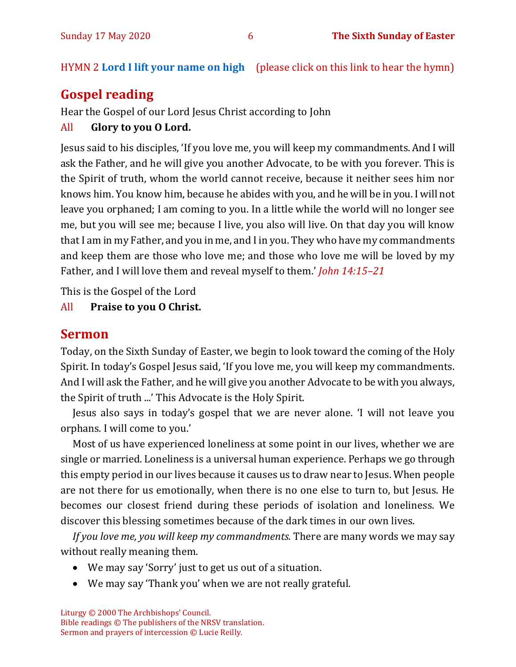#### HYMN 2 **[Lord I lift your name on high](https://www.youtube.com/watch?v=COQ6cni_TG8)** (please click on this link to hear the hymn)

## **Gospel reading**

Hear the Gospel of our Lord Jesus Christ according to John

#### All **Glory to you O Lord.**

Jesus said to his disciples, 'If you love me, you will keep my commandments. And I will ask the Father, and he will give you another Advocate, to be with you forever. This is the Spirit of truth, whom the world cannot receive, because it neither sees him nor knows him. You know him, because he abides with you, and he will be in you. I will not leave you orphaned; I am coming to you. In a little while the world will no longer see me, but you will see me; because I live, you also will live. On that day you will know that I am in my Father, and you in me, and I in you. They who have my commandments and keep them are those who love me; and those who love me will be loved by my Father, and I will love them and reveal myself to them.' *John 14:15–21*

This is the Gospel of the Lord

#### All **Praise to you O Christ.**

#### **Sermon**

Today, on the Sixth Sunday of Easter, we begin to look toward the coming of the Holy Spirit. In today's Gospel Jesus said, 'If you love me, you will keep my commandments. And I will ask the Father, and he will give you another Advocate to be with you always, the Spirit of truth ...' This Advocate is the Holy Spirit.

Jesus also says in today's gospel that we are never alone. 'I will not leave you orphans. I will come to you.'

Most of us have experienced loneliness at some point in our lives, whether we are single or married. Loneliness is a universal human experience. Perhaps we go through this empty period in our lives because it causes us to draw near to Jesus. When people are not there for us emotionally, when there is no one else to turn to, but Jesus. He becomes our closest friend during these periods of isolation and loneliness. We discover this blessing sometimes because of the dark times in our own lives.

*If you love me, you will keep my commandments.* There are many words we may say without really meaning them.

- We may say 'Sorry' just to get us out of a situation.
- We may say 'Thank you' when we are not really grateful.

Liturgy © 2000 The Archbishops' Council. Bible readings © The publishers of the NRSV translation. Sermon and prayers of intercession © Lucie Reilly.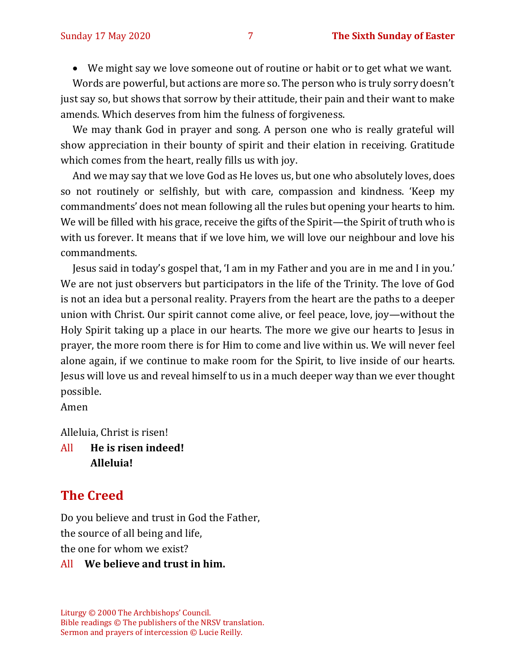• We might say we love someone out of routine or habit or to get what we want.

Words are powerful, but actions are more so. The person who is truly sorry doesn't just say so, but shows that sorrow by their attitude, their pain and their want to make amends. Which deserves from him the fulness of forgiveness.

We may thank God in prayer and song. A person one who is really grateful will show appreciation in their bounty of spirit and their elation in receiving. Gratitude which comes from the heart, really fills us with joy.

And we may say that we love God as He loves us, but one who absolutely loves, does so not routinely or selfishly, but with care, compassion and kindness. 'Keep my commandments' does not mean following all the rules but opening your hearts to him. We will be filled with his grace, receive the gifts of the Spirit—the Spirit of truth who is with us forever. It means that if we love him, we will love our neighbour and love his commandments.

Jesus said in today's gospel that, 'I am in my Father and you are in me and I in you.' We are not just observers but participators in the life of the Trinity. The love of God is not an idea but a personal reality. Prayers from the heart are the paths to a deeper union with Christ. Our spirit cannot come alive, or feel peace, love, joy—without the Holy Spirit taking up a place in our hearts. The more we give our hearts to Jesus in prayer, the more room there is for Him to come and live within us. We will never feel alone again, if we continue to make room for the Spirit, to live inside of our hearts. Jesus will love us and reveal himself to us in a much deeper way than we ever thought possible.

Amen

Alleluia, Christ is risen!

All **He is risen indeed! Alleluia!**

# **The Creed**

Do you believe and trust in God the Father, the source of all being and life, the one for whom we exist?

#### All **We believe and trust in him.**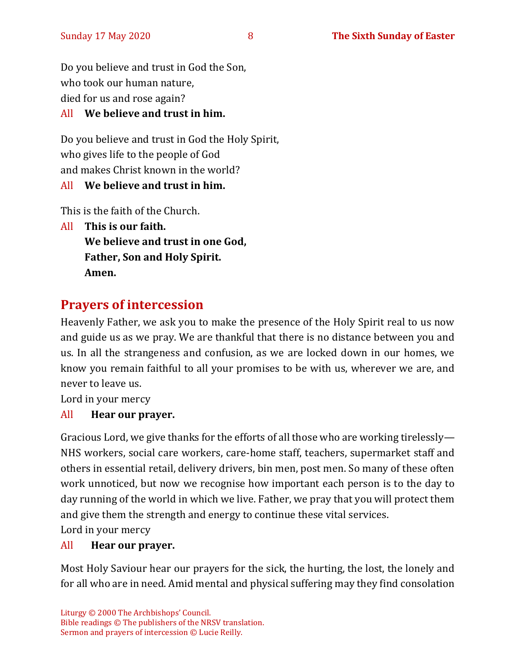Do you believe and trust in God the Son, who took our human nature, died for us and rose again?

#### All **We believe and trust in him.**

Do you believe and trust in God the Holy Spirit, who gives life to the people of God and makes Christ known in the world?

#### All **We believe and trust in him.**

This is the faith of the Church.

All **This is our faith. We believe and trust in one God, Father, Son and Holy Spirit. Amen.**

# **Prayers of intercession**

Heavenly Father, we ask you to make the presence of the Holy Spirit real to us now and guide us as we pray. We are thankful that there is no distance between you and us. In all the strangeness and confusion, as we are locked down in our homes, we know you remain faithful to all your promises to be with us, wherever we are, and never to leave us.

Lord in your mercy

#### All **Hear our prayer.**

Gracious Lord, we give thanks for the efforts of all those who are working tirelessly— NHS workers, social care workers, care-home staff, teachers, supermarket staff and others in essential retail, delivery drivers, bin men, post men. So many of these often work unnoticed, but now we recognise how important each person is to the day to day running of the world in which we live. Father, we pray that you will protect them and give them the strength and energy to continue these vital services.

Lord in your mercy

#### All **Hear our prayer.**

Most Holy Saviour hear our prayers for the sick, the hurting, the lost, the lonely and for all who are in need. Amid mental and physical suffering may they find consolation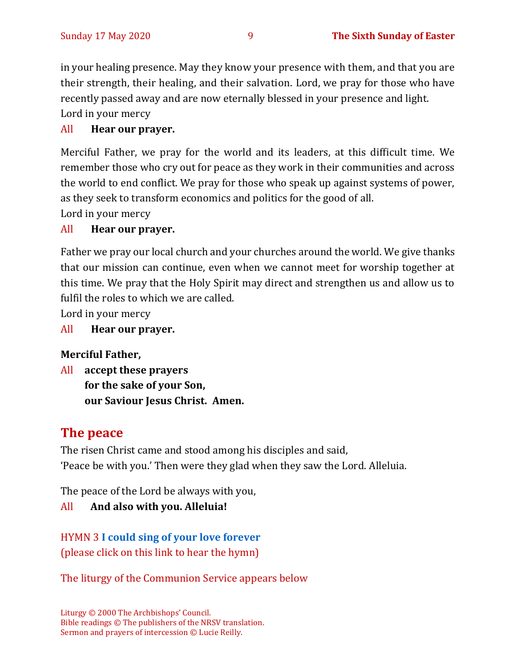in your healing presence. May they know your presence with them, and that you are their strength, their healing, and their salvation. Lord, we pray for those who have recently passed away and are now eternally blessed in your presence and light. Lord in your mercy

#### All **Hear our prayer.**

Merciful Father, we pray for the world and its leaders, at this difficult time. We remember those who cry out for peace as they work in their communities and across the world to end conflict. We pray for those who speak up against systems of power, as they seek to transform economics and politics for the good of all.

Lord in your mercy

#### All **Hear our prayer.**

Father we pray our local church and your churches around the world. We give thanks that our mission can continue, even when we cannot meet for worship together at this time. We pray that the Holy Spirit may direct and strengthen us and allow us to fulfil the roles to which we are called.

Lord in your mercy

#### All **Hear our prayer.**

#### **Merciful Father,**

All **accept these prayers for the sake of your Son, our Saviour Jesus Christ. Amen.**

# **The peace**

The risen Christ came and stood among his disciples and said, 'Peace be with you.' Then were they glad when they saw the Lord. Alleluia.

The peace of the Lord be always with you,

#### All **And also with you. Alleluia!**

## HYMN 3 **[I could sing of your love forever](https://www.youtube.com/watch?v=zeCwwaciAA8)** (please click on this link to hear the hymn)

The liturgy of the Communion Service appears below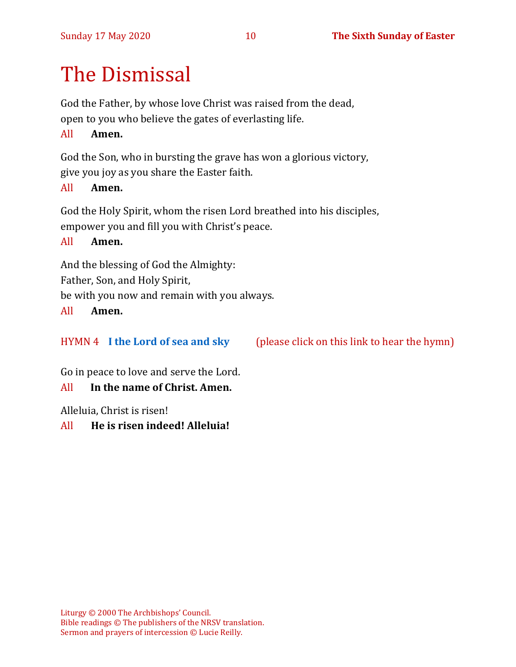# The Dismissal

God the Father, by whose love Christ was raised from the dead, open to you who believe the gates of everlasting life.

#### All **Amen.**

God the Son, who in bursting the grave has won a glorious victory,

give you joy as you share the Easter faith.

#### All **Amen.**

God the Holy Spirit, whom the risen Lord breathed into his disciples, empower you and fill you with Christ's peace.

All **Amen.**

And the blessing of God the Almighty:

Father, Son, and Holy Spirit,

be with you now and remain with you always.

All **Amen.**

#### HYMN 4 **[I the Lord of sea and sky](https://www.youtube.com/watch?v=WNDTDr5ok-0)** (please click on this link to hear the hymn)

Go in peace to love and serve the Lord.

All **In the name of Christ. Amen.**

Alleluia, Christ is risen!

All **He is risen indeed! Alleluia!**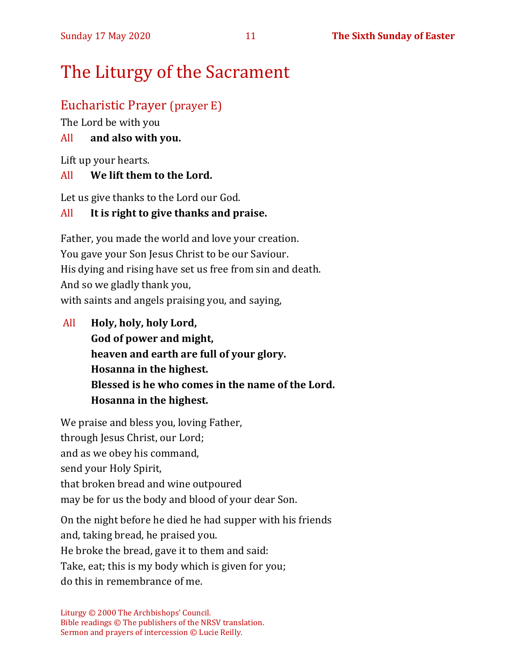# The Liturgy of the Sacrament

# Eucharistic Prayer (prayer E)

The Lord be with you

## All **and also with you.**

Lift up your hearts.

### All **We lift them to the Lord.**

Let us give thanks to the Lord our God.

### All **It is right to give thanks and praise.**

Father, you made the world and love your creation. You gave your Son Jesus Christ to be our Saviour. His dying and rising have set us free from sin and death. And so we gladly thank you, with saints and angels praising you, and saying,

All **Holy, holy, holy Lord, God of power and might, heaven and earth are full of your glory. Hosanna in the highest. Blessed is he who comes in the name of the Lord. Hosanna in the highest.**

We praise and bless you, loving Father, through Jesus Christ, our Lord; and as we obey his command, send your Holy Spirit, that broken bread and wine outpoured may be for us the body and blood of your dear Son.

On the night before he died he had supper with his friends and, taking bread, he praised you. He broke the bread, gave it to them and said: Take, eat; this is my body which is given for you; do this in remembrance of me.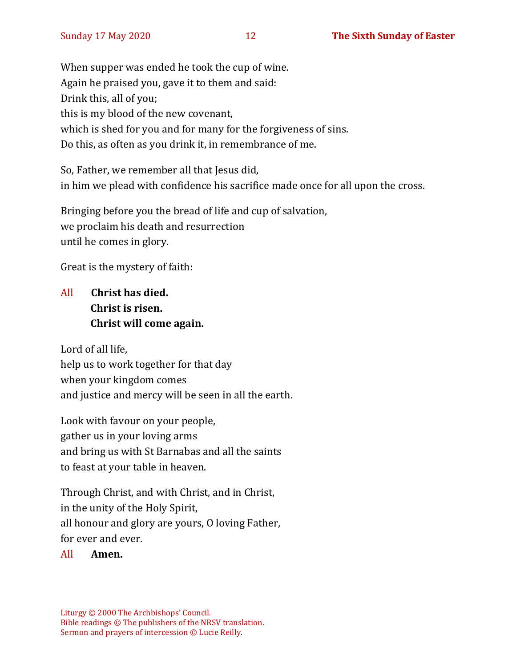When supper was ended he took the cup of wine. Again he praised you, gave it to them and said: Drink this, all of you; this is my blood of the new covenant, which is shed for you and for many for the forgiveness of sins. Do this, as often as you drink it, in remembrance of me.

So, Father, we remember all that Jesus did, in him we plead with confidence his sacrifice made once for all upon the cross.

Bringing before you the bread of life and cup of salvation, we proclaim his death and resurrection until he comes in glory.

Great is the mystery of faith:

# All **Christ has died. Christ is risen. Christ will come again.**

Lord of all life, help us to work together for that day when your kingdom comes and justice and mercy will be seen in all the earth.

Look with favour on your people, gather us in your loving arms and bring us with St Barnabas and all the saints to feast at your table in heaven.

Through Christ, and with Christ, and in Christ, in the unity of the Holy Spirit, all honour and glory are yours, O loving Father, for ever and ever.

#### All **Amen.**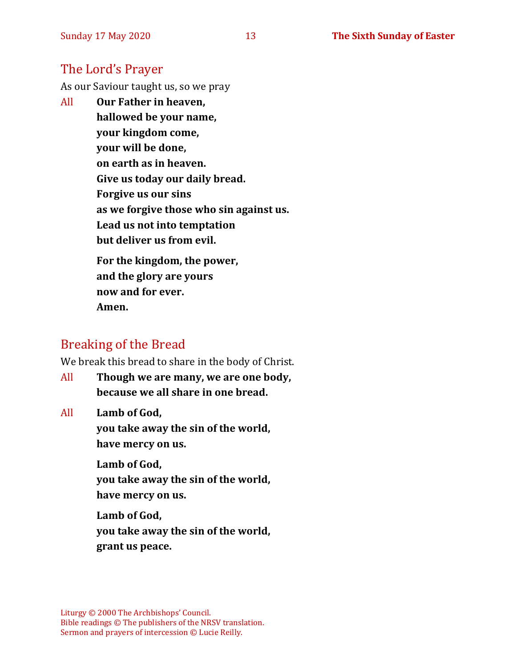# The Lord's Prayer

As our Saviour taught us, so we pray

All **Our Father in heaven, hallowed be your name, your kingdom come, your will be done, on earth as in heaven. Give us today our daily bread. Forgive us our sins as we forgive those who sin against us. Lead us not into temptation but deliver us from evil. For the kingdom, the power,** 

**and the glory are yours now and for ever. Amen.**

# Breaking of the Bread

We break this bread to share in the body of Christ.

All **Though we are many, we are one body, because we all share in one bread.**

All **Lamb of God,**

**you take away the sin of the world, have mercy on us.**

**Lamb of God, you take away the sin of the world, have mercy on us.**

**Lamb of God, you take away the sin of the world, grant us peace.**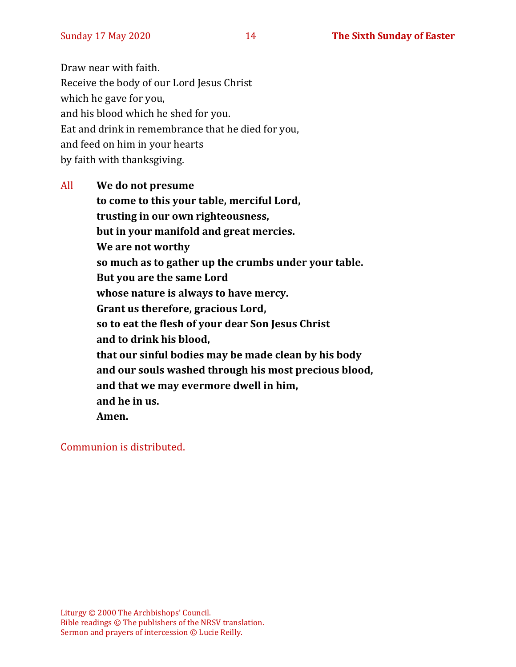Draw near with faith. Receive the body of our Lord Jesus Christ which he gave for you, and his blood which he shed for you. Eat and drink in remembrance that he died for you, and feed on him in your hearts by faith with thanksgiving.

All **We do not presume to come to this your table, merciful Lord, trusting in our own righteousness, but in your manifold and great mercies. We are not worthy so much as to gather up the crumbs under your table. But you are the same Lord whose nature is always to have mercy. Grant us therefore, gracious Lord, so to eat the flesh of your dear Son Jesus Christ and to drink his blood, that our sinful bodies may be made clean by his body and our souls washed through his most precious blood, and that we may evermore dwell in him, and he in us. Amen.**

Communion is distributed.